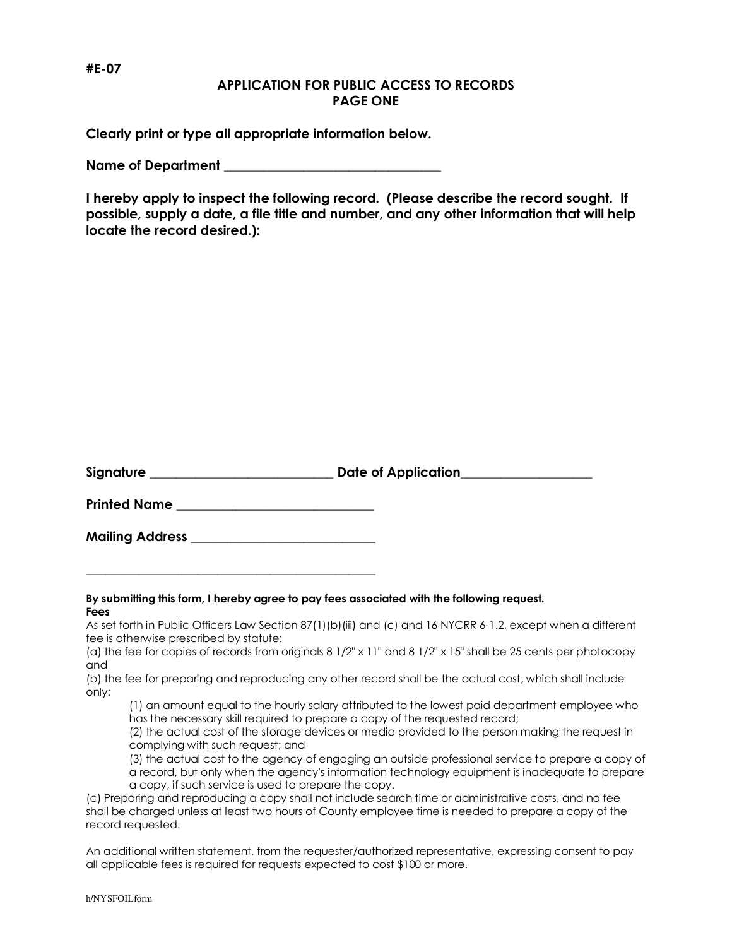## **#E-07**

## **APPLICATION FOR PUBLIC ACCESS TO RECORDS PAGE ONE**

**Clearly print or type all appropriate information below.** 

Name of Department

**I hereby apply to inspect the following record. (Please describe the record sought. If possible, supply a date, a file title and number, and any other information that will help locate the record desired.):** 

| Signature | Date of Application |
|-----------|---------------------|
|-----------|---------------------|

**Printed Name \_\_\_\_\_\_\_\_\_\_\_\_\_\_\_\_\_\_\_\_\_\_\_\_\_\_\_\_\_\_** 

**Mailing Address \_\_\_\_\_\_\_\_\_\_\_\_\_\_\_\_\_\_\_\_\_\_\_\_\_\_\_\_** 

**\_\_\_\_\_\_\_\_\_\_\_\_\_\_\_\_\_\_\_\_\_\_\_\_\_\_\_\_\_\_\_\_\_\_\_\_\_\_\_\_\_\_\_\_** 

#### **By submitting this form, I hereby agree to pay fees associated with the following request. Fees**

As set forth in Public Officers Law Section 87(1)(b)(iii) and (c) and 16 NYCRR 6-1.2, except when a different fee is otherwise prescribed by statute:

(a) the fee for copies of records from originals 8 1/2" x 11" and 8 1/2" x 15" shall be 25 cents per photocopy and

(b) the fee for preparing and reproducing any other record shall be the actual cost, which shall include only:

(1) an amount equal to the hourly salary attributed to the lowest paid department employee who has the necessary skill required to prepare a copy of the requested record;

(2) the actual cost of the storage devices or media provided to the person making the request in complying with such request; and

(3) the actual cost to the agency of engaging an outside professional service to prepare a copy of a record, but only when the agency's information technology equipment is inadequate to prepare a copy, if such service is used to prepare the copy.

(c) Preparing and reproducing a copy shall not include search time or administrative costs, and no fee shall be charged unless at least two hours of County employee time is needed to prepare a copy of the record requested.

An additional written statement, from the requester/authorized representative, expressing consent to pay all applicable fees is required for requests expected to cost \$100 or more.